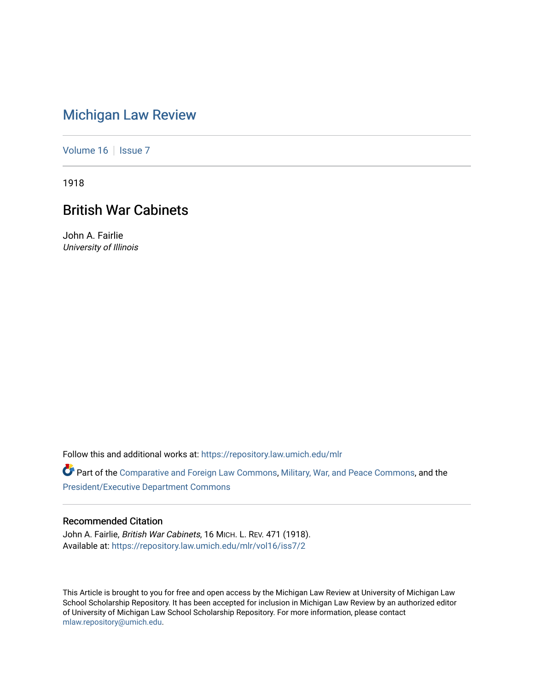## [Michigan Law Review](https://repository.law.umich.edu/mlr)

[Volume 16](https://repository.law.umich.edu/mlr/vol16) | [Issue 7](https://repository.law.umich.edu/mlr/vol16/iss7)

1918

# British War Cabinets

John A. Fairlie University of Illinois

Follow this and additional works at: [https://repository.law.umich.edu/mlr](https://repository.law.umich.edu/mlr?utm_source=repository.law.umich.edu%2Fmlr%2Fvol16%2Fiss7%2F2&utm_medium=PDF&utm_campaign=PDFCoverPages) 

Part of the [Comparative and Foreign Law Commons,](http://network.bepress.com/hgg/discipline/836?utm_source=repository.law.umich.edu%2Fmlr%2Fvol16%2Fiss7%2F2&utm_medium=PDF&utm_campaign=PDFCoverPages) [Military, War, and Peace Commons,](http://network.bepress.com/hgg/discipline/861?utm_source=repository.law.umich.edu%2Fmlr%2Fvol16%2Fiss7%2F2&utm_medium=PDF&utm_campaign=PDFCoverPages) and the [President/Executive Department Commons](http://network.bepress.com/hgg/discipline/1118?utm_source=repository.law.umich.edu%2Fmlr%2Fvol16%2Fiss7%2F2&utm_medium=PDF&utm_campaign=PDFCoverPages)

## Recommended Citation

John A. Fairlie, British War Cabinets, 16 MICH. L. REV. 471 (1918). Available at: [https://repository.law.umich.edu/mlr/vol16/iss7/2](https://repository.law.umich.edu/mlr/vol16/iss7/2?utm_source=repository.law.umich.edu%2Fmlr%2Fvol16%2Fiss7%2F2&utm_medium=PDF&utm_campaign=PDFCoverPages)

This Article is brought to you for free and open access by the Michigan Law Review at University of Michigan Law School Scholarship Repository. It has been accepted for inclusion in Michigan Law Review by an authorized editor of University of Michigan Law School Scholarship Repository. For more information, please contact [mlaw.repository@umich.edu.](mailto:mlaw.repository@umich.edu)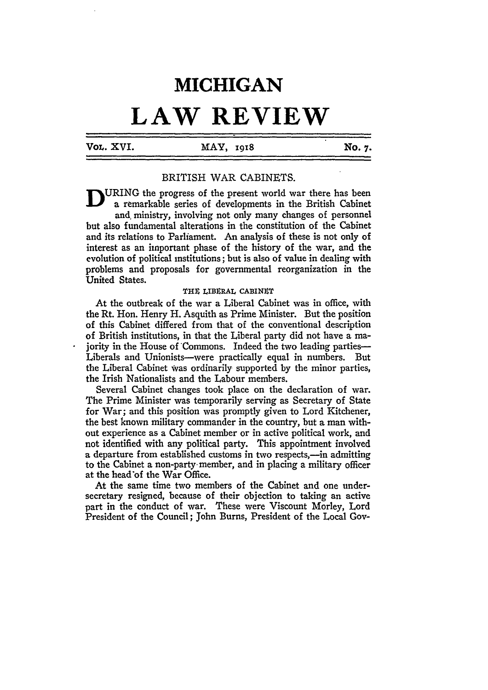# **MICHIGAN LAW REVIEW**

**Vol. XVI.** MAY, 1918

**No. 7.** 

## BRITISH WAR CABINETS.

URING the progress of the present world war there has been a remarkable series of developments in the British Cabinet and. ministry, involving not only many changes of personnel but also fundamental alterations in the constitution of the Cabinet and its relations to Parliament. An analysis of these is not only of interest as an important phase of the history of the war, and the evolution of political mstitutions ; but is also of value in dealing with problems and proposals for governmental reorganization in the United States.

## *THE* LIBERAL CABINET

At the outbreak of the war a Liberal Cabinet was in office, with the Rt. Hon. Henry H. Asquith as Prime Minister. But the position of this Cabinet differed from that of the conventional description of British institutions, in that the Liberal party did not have a majority in the House of Commons. Indeed the two leading parties-Liberals and Unionists-were practically equal in numbers. But the Liberal Cabinet 'vas ordinarily supported by the minor parties, the Irish Nationalists and the Labour members.

Several Cabinet changes took place on the declaration of war. The Prime Minister was temporarily serving as Secretary of State for War; and this position was promptly given to Lord Kitchener, the best known military commander in the country, but a man without experience as a Cabinet member or in active political work, and not identified with any political party. This appointment involved a departure from established customs in two respects,-in admitting to the Cabinet a non-party· member, and in placing a military officer at the head "of the War Office.

At the same time two members of the Cabinet and one undersecretary resigned, because of their objection to taking an active part in the conduct of war. These were Viscount Morley, Lord President of the Council; John Burns, President of the Local Gov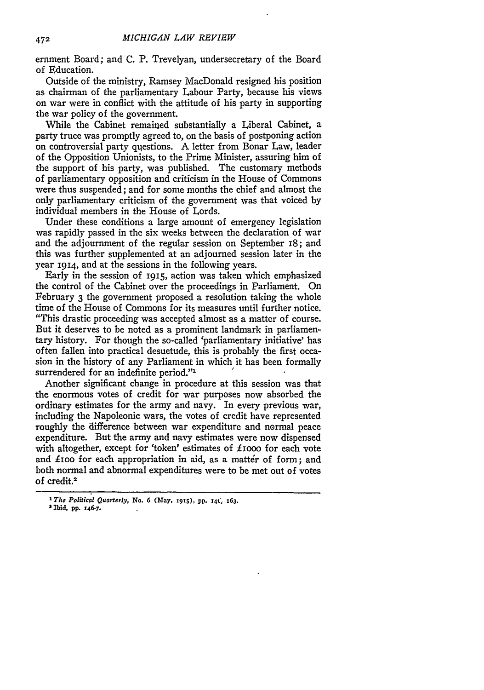ernment Board; and C. P. Trevelyan, undersecretary of the Board of Education.

Outside of the ministry, Ramsey MacDonald resigned his position as chairman of the parliamentary Labour Party, because his views on war were in conflict with the attitude of his party in supporting the war policy of the government.

While the Cabinet remained substantially a Liberal Cabinet, a party truce was promptly agreed to, on the basis of postponing action on controversial party questions. A letter from Bonar Law, leader of the Opposition Unionists, to the Prime Minister, assuring him of the support of his party, was published. The customary methods of parliamentary opposition and criticism in the House of Commons were thus suspended; and for some months the chief and almost the only parliamentary criticism of the government was that voiced by individual members in the House of Lords.

Under these conditions a large amount of emergency legislation was rapidly passed in the six weeks between the declaration of war and the adjournment of the regular session on September 18; and this was further supplemented at an adjourned session later in the year 1914, and at the sessions in the following years.

Early in the session of 1915, action was taken which emphasized the control of the Cabinet over the proceedings in Parliament. On February 3 the government proposed a resolution taking the whole time of the House of Commons for its measures until further notice. "This drastic proceeding was accepted almost as a matter of course. But it deserves to be noted as a prominent landmark in parliamentary history. For though the so-called 'parliamentary initiative' has often fallen into practical desuetude, this is probably the first occasion in the history of any Parliament in which it has been formally surrendered for an indefinite period."<sup>1</sup>

Another significant change in procedure at this session was that the enormous votes of credit for war purposes now absorbed the ordinary estimates for the army and navy. In every previous war, including the Napoleonic wars, the votes of credit have represented roughly the difference between war expenditure and normal peace expenditure. But the army and navy estimates were now dispensed with altogether, except for 'token' estimates of £1000 for each vote and £100 for each appropriation in aid, as a matter of form; and both normal and abnormal expenditures were to be met out of votes of credit.<sup>2</sup>

<sup>&</sup>lt;sup>1</sup>The Political Quarterly, No. 6 (May, 1915), pp. 14t, 163.

<sup>&</sup>lt;sup>3</sup> Ibid, pp. 146-7.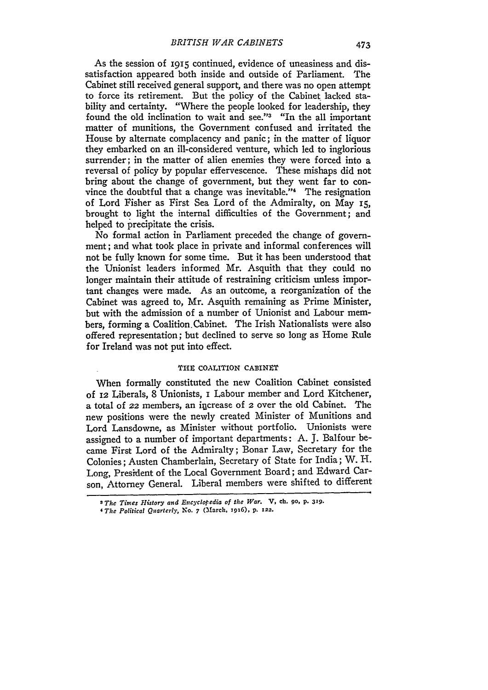As the session of 1915 continued, evidence of uneasiness and dissatisfaction appeared both inside and outside of Parliament. The Cabinet still received general support, and there was no open attempt to force its retirement. But the policy of the Cabinet lacked stability and certainty. "Where the people looked for leadership, they found the old inclination to wait and see."3 "In the all important matter of munitions, the Government confused and irritated the House by alternate complacency and panic; in the matter of liquor they embarked on an ill-considered venture, which led to inglorious surrender; in the matter of alien enemies they were forced into a reversal of policy by popular effervescence. These mishaps did not bring about the change of government, but they went far to convince the doubtful that a change was inevitable."4 The resignation of Lord Fisher as First Sea Lord of the Admiralty, on May 15, brought to light the internal difficulties of the Government; and helped to precipitate the crisis.

No formal action in Parliament preceded the change of government ; and what took place in private and informal conferences will not be fully known for some time. But it has been understood that the Unionist leaders informed Mr. Asquith that they could no longer maintain their attitude of restraining criticism unless important changes were made. As an outcome, a reorganization of the Cabinet was agreed to, Mr. Asquith remaining as Prime Minister, but with the admission of a number of Unionist and Labour members, forming a Coalition.Cabinet. The Irish Nationalists were also offered representation; but declined to serve so long as Home Rule for Ireland was not put into effect.

### THE COALITION CABINET

When formally constituted the new Coalition Cabinet consisted of 12 Liberals, 8 Unionists, I Labour member and Lord Kitchener, a total of 22 members, an increase of 2 over the old Cabinet. The new positions were the newly created Minister of Munitions and Lord Lansdowne, as Minister without portfolio. Unionists were assigned to a number of important departments : A. J. Balfour became First Lord of the Admiralty; Bonar Law, Secretary for the Colonies; Austen Chamberlain, Secretary of State for India; W. H. Long, President of the Local Government Board; and Edward Carson, Attorney General. Liberal members were shifted to different

s *The Times History and E11cyclotetlia of tlie War.* V, ch. 90, p. 319.

*<sup>\*</sup> The Political Quarterly, No. 7 (March, 1916), p. 122.*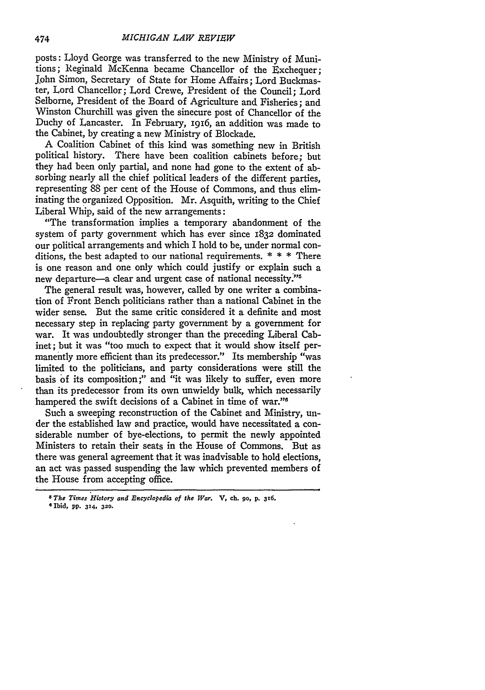posts: Lloyd George was transferred to the new Ministry of Munitions; Reginald McKenna became Chancellor of the Exchequer; John Simon, Secretary of State for Home Affairs; Lord Buckmaster, Lord Chancellor; Lord Crewe, President of the Council; Lord Selborne, President of the Board of Agriculture and Fisheries; and Winston Churchill was given the sinecure post of Chancellor of the Duchy of Lancaster. In February, 1916, an addition was made to the Cabinet, by creating a new Ministry of Blockade.

A Coalition Cabinet of this kind was something new in British political history. There have been coalition cabinets before.; but they had been only partial, and none had gone to the extent of absorbing nearly all the chief political leaders of the different parties, representing 88 per cent of the House of Commons, and thus eliminating the organized Opposition. Mr. Asquith, writing to the Chief Liberal Whip, said of the new arrangements :

"The transformation implies a temporary abandonment of the system of party government which has ever since 1832 dominated our political arrangements and which I hold to be, under normal conditions, the best adapted to our national requirements.  $* * *$  There is one reason and one only which could justify or explain such a new departure-a clear and urgent case of national necessity *:"5* 

The general result was, however, called by one writer a combination of Front Bench politicians rather than a national Cabinet in the wider sense. But the same critic considered it a definite and most necessary step in replacing party government by a government for war. It was undoubtedly stronger than the preceding Liberal Cabinet; but it was "too much to expect that it would show itself permanently more efficient than its predecessor." Its membership "was limited to the politicians, and party considerations were still the basis of its composition;" and "it was likely to suffer, even more than its predecessor from its own unwieldy bulk, which necessarily hampered the swift decisions of a Cabinet in time of war."8

Such a sweeping reconstruction of the Cabinet and Ministry, under the established law and practice, would have necessitated a considerable number of bye-elections, to permit the newly appointed Ministers to retain their seats in the House of Commons. But as there was general agreement that it was inadvisable to hold elections, an act was passed suspending the law which prevented members of the House from accepting office.

•Ibid, pp. 314, 320.

<sup>&</sup>lt;sup>5</sup> The Times History and Encyclopedia of the War. V, ch. 90, p. 316.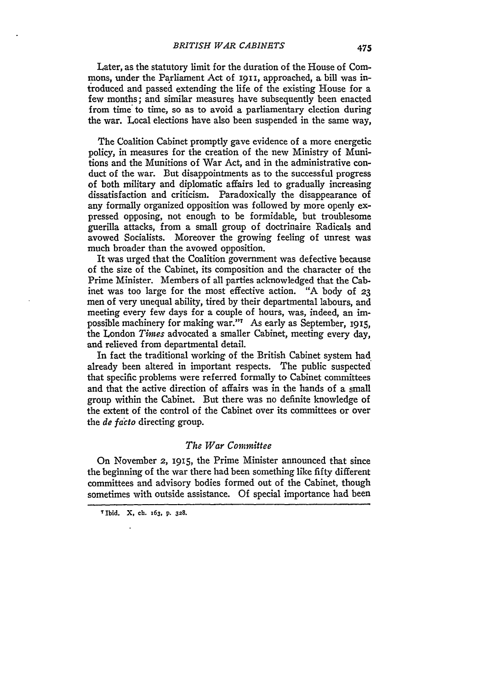Later, as the statutory limit for the duration of the House of Commons, under the Parliament Act of 1911, approached, a bill was introduced and passed extending the life of the existing House for a few months; and similar measures have subsequently been enacted from time to time, so as to avoid a parliamentary election during the war. Local elections have also been suspended in the same way,

The Coalition Cabinet promptly gave evidence of a more energetic policy, in measures for the creation of the new Ministry of Munitions and the Munitions of War Act, and in the administrative conduct of the war. But disappointments as to the successful progress of both military and diplomatic affairs led to gradually increasing dissatisfaction and criticism. Paradoxically the disappearance of any formally organized opposition was followed by more openly expressed opposing, not enough to be formidable, but troublesome guerilla attacks, from a small group of doctrinaire Radicals and avowed Socialists. Moreover the growing feeling of unrest was much broader than the avowed opposition.

It was urged that the Coalition government was defective because of the size of the Cabinet, its composition and the character of the Prime Minister. Members of all parties acknowledged that the Cabinet was too large for the most effective action. "A body of 23 men of very unequal ability, tired by their departmental labours, and meeting every few days for a couple of hours, was, indeed, an impossible machinery for making war."7 As early as September, 1915, the London *Times* advocated a smaller Cabinet, meeting every day, and relieved from departmental detail.

In fact the traditional working of the British Cabinet system had already been altered in important respects. The public suspected. that specific problems were referred formally to Cabinet committees and that the active direction of affairs was in the hands of a small group within the Cabinet. But there was no definite knowledge of the extent of the control of the Cabinet over its committees or over the *de facto* directing group.

## *The War Committee*

On November *2,* 1915, the Prime Minister announced that since the beginning of the war there had been something like fifty different committees and advisory bodies formed out of the Cabinet, though sometimes with outside assistance. Of special importance had been

TJbid. X, ch. 163, p. 328.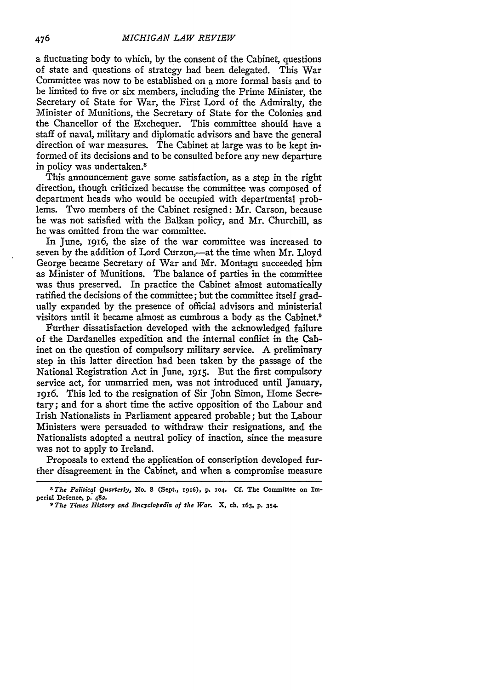a fluctuating body to which, by the consent of the Cabinet, questions of state and questions of strategy had been delegated. This War Committee was now to be established on a more formal basis and to be limited to five or six members, including the Prime Minister, the Secretary of State for War, the First Lord of the Admiralty, the Minister of Munitions, the Secretary of State for the Colonies and the Chancellor of the Exchequer. This committee should have a staff of naval, military and diplomatic advisors and have the general direction of war measures. The Cabinet at large was to be kept informed of its decisions and to be consulted before any new departure in policy was undertaken.<sup>8</sup>

This announcement gave some satisfaction, as a step in the right direction, though criticized because the committee was composed of department heads who would be occupied with departmental problems. Two members of the Cabinet resigned: Mr. Carson, because he was not satisfied with the Balkan policy, and Mr. Churchill, as he was omitted from the war committee.

In June, 1916, the size of the war committee was increased to seven by the addition of Lord Curzon,-at the time when Mr. Lloyd George became Secretary of War and Mr. Montagu succeeded him as Minister of Munitions. The balance of parties in the committee was thus preserved. In practice the Cabinet almost automatically ratified the decisions of the committee; but the committee itself gradually expanded by the presence of official advisors and ministerial visitors until it became almost as cumbrous a body as the Cabinet.<sup>9</sup>

Further dissatisfaction developed with the acknowledged failure of the Dardanelles expedition and the internal conflict in the Cabinet on the question of compulsory military service. A preliminary step in this latter direction had been taken by the passage of the National Registration Act in June, 1915. But the first compulsory service act, for unmarried men, was not introduced until January, 1916. This led to the resignation of Sir John Simon, Home Secretary; and for a short time the active opposition of the Labour and Irish Nationalists in Parliament appeared probable; but the Labour Ministers were persuaded to withdraw their resignations, and the Nationalists adopted a neutral policy of inaction, since the measure was not to apply to Ireland.

Proposals to extend the application of conscription developed further disagreement in the Cabinet, and when a compromise measure

s *The Political Quarterly,* No. 8 (Sept., 1916), p. xo4. Cf. The Committee on Imperial Defence, p: 482.

<sup>9</sup> *Tlie Times History and Encyclopec!iu. of the War.* X, ch. x63, p. 354-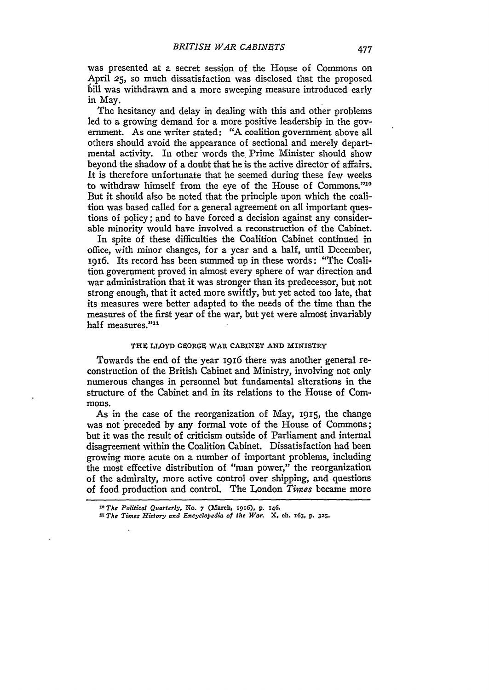was presented at a secret session of the House of Commons on April 25, so much dissatisfaction was disclosed that the proposed bill was withdrawn and a more sweeping measure introduced early in May.

The hesitancy and delay in dealing with this and other problems led to a growing demand for a more positive leadership in the government. As one writer stated: "A coalition government above all others should avoid the appearance of sectional and merely departmental activity. In other words the. Prime Minister should show beyond the shadow of a doubt that he is the active director of affairs. It is therefore unfortunate that he seemed during these few weeks to withdraw himself from the eye of the House of Commons."10 But it should also be noted that the principle upon which the coalition was based called for a general agreement on all important questions of policy; and to have forced a decision against any considerable minority would have involved a reconstruction of the Cabinet.

In spite of these difficulties the Coalition Cabinet continued in office, with minor changes, for a year and a half, until December, i9I6. Its record has been summed up in these words: "The Coalition government proved in almost every sphere of war direction and war administration that it was stronger than its predecessor, but not strong enough, that it acted more swiftly, but yet acted too late, that its measures were better adapted to the needs of the time than the measures of the first year of the war, but yet were almost invariably half measures."<sup>11</sup>

## THE LLOYD GEORGE WAR CABINET AND MINISTRY

Towards the end of the year I9I6 there was another general reconstruction of the British Cabinet and Ministry, involving not only numerous changes in personnel but fundamental alterations in the structure of the Cabinet and in its relations to the House of Commons.

As in the case of the reorganization of May, I9I5, the change was not preceded by any formal vote of the House of Commons; but it was the result of criticism outside of Parliament and internal disagreement within the Coalition Cabinet. Dissatisfaction had been growing more acute on a number of important problems, including the most effective distribution of "man power," the reorganization of the admiralty, more active control over shipping, and questions of food production and control. The London *Times* became more

<sup>&</sup>gt;<sup>0</sup>*The Political Quarterly,* No. *7* (March, 1916), p. 146.

<sup>11</sup> *The Times History and Encyclopedia of the War.* X, ch. 163, p. 325.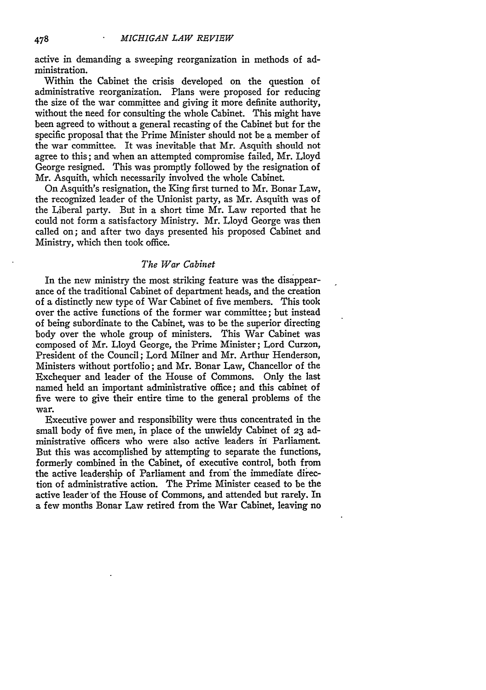active in demanding a sweeping reorganization in methods of administration.

Within the Cabinet the crisis developed on the question of administrative reorganization. Plans were proposed for reducing the size of the war committee and giving it more definite authority, without the need for consulting the whole Cabinet. This might have been agreed to without a general recasting of the Cabinet but for the specific proposal that the Prime Minister should not be a member of the war committee. It was inevitable that Mr. Asquith should not agree to this ; and when an attempted compromise failed, Mr. Lloyd George resigned. 'fhis was promptly followed by the resignation of Mr. Asquith, which necessarily involved the whole Cabinet.

On Asquith's resignation, the King first turned to Mr. Bonar Law, the recognized leader of the Unionist party, as Mr. Asquith was of the Liberal party. But in a short time Mr. Law reported that he could not form a satisfactory Ministry. Mr. Lloyd George was then called on; and after two days presented his proposed Cabinet and Ministry, which then took office.

## *The War Cabinet*

In the new ministry the most striking feature was the disappearance of the traditional Cabinet of department heads, and the creation of a distinctly new type of War Cabinet of five members. This took over the active functions of the former war committee; but instead of being subordinate to the Cabinet, was to be the superior directing body over the whole group of ministers. This War Cabinet was composed of Mr. Lloyd George, the Prime Minister; Lord Curzon, President of the Council; Lord Milner and Mr. Arthur Henderson, Ministers without portfolio; and Mr. Bonar Law, Chancellor of the Exchequer and leader of the House of Commons. Only the last named held an important administrative office; and this cabinet of five were to give their entire time to the general problems of the war.

Executive power and responsibility were thus concentrated in the small body of five men, in place of the unwieldy Cabinet of 23 administrative officers who were also active leaders in Parliament. But this was accomplished by attempting to separate the functions, formerly combined in the Cabinet, of executive control, both from the active leadership of Parliament and from the immediate direction of administrative action. The Prime Minister ceased to be the active leader of the House of Commons, and attended but rarely. In a few months Bonar Law retired from the War Cabinet, leaving no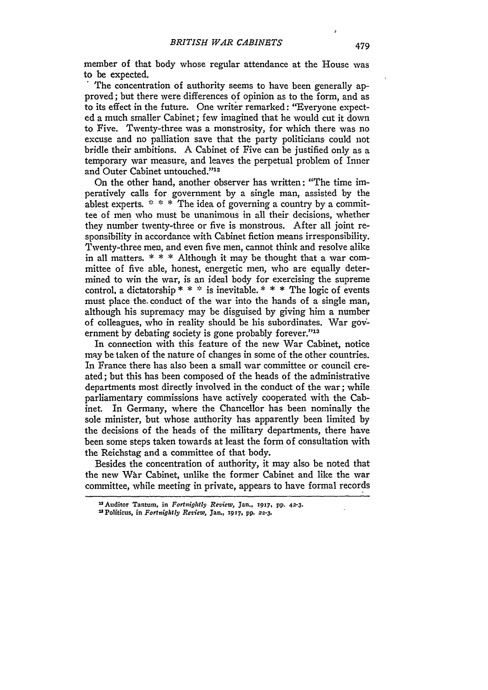member of that body whose regular attendance at the House was to be expected.

The concentration of authority seems to have been generally approved ; but there were differences of opinion as to the form, and as to its effect in the future. One writer remarked : "Everyone expected a much smaller Cabinet; few imagined that he would cut it down to Five. Twenty-three was a monstrosity, for which there was no excuse and no palliation save that the party politicians could not bridle their ambitions. A Cabinet of Five can be justified only as a temporary war measure, and leaves the perpetual problem of Inner and Outer Cabinet untouched."12

On the other hand, another observer has written : "The time imperatively calls for government by a single man, assisted by the ablest experts.  $* *$  The idea of governing a country by a committee of men who must be unanimous in all their decisions, whether they number twenty-three or five is monstrous. After all joint responsibility in accordance with Cabinet fiction means irresponsibility. '1\venty-three men, and even five men, cannot think and resolve alike in all matters.  $* * *$  Although it may be thought that a war committee of five able, honest, energetic men, who are equally determined to win the war, is an ideal body for exercising the supreme control, a dictatorship  $* * *$  is inevitable.  $* * *$  The logic of events must place the. conduct of the war into the hands of a single man, although his supremacy may be disguised by giving him a number of colleagues, who in reality should be his subordinates. War government by debating society is gone probably forever."<sup>13</sup>

In connection with this feature of the new War Cabinet, notice may be taken of the nature of changes in some of the other countries. In France there has also been a small war committee or council created; but this has been composed of the heads of the administrative departments most directly involved in the conduct of the war; while parliamentary commissions have actively cooperated with the Cabinet. In Germany, where the Chancellor has been nominally the sole minister, but whose authority has apparently been limited by the decisions of the heads of the military departments, there have been some steps taken towards at least the form of consultation with the Reichstag and a committee of that body.

Besides the concentration of authority, it may also be noted that the new War Cabinet, unlike the former Cabinet and like the war committee, while meeting in private, appears to have formal records

<sup>12</sup> Auditor Tantum, in *Fortnightly Review,* Jan., 1917, pp. 42·3.

<sup>&</sup>lt;sup>13</sup> Politicus, in *Fortnightly Review*, Jan., 1917, pp. 22-3.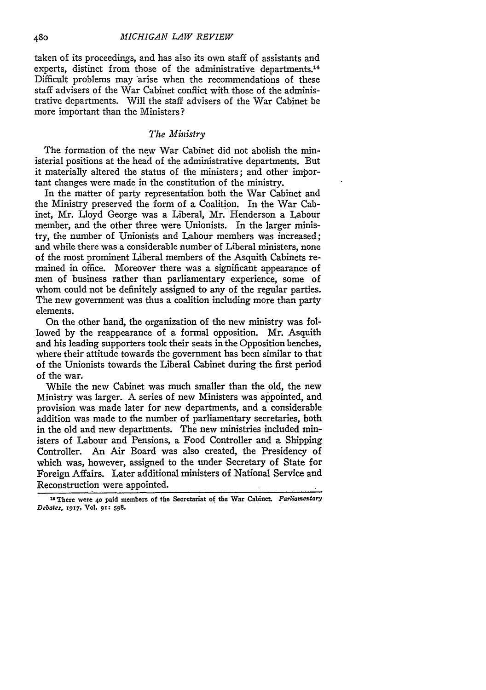taken of its proceedings, and has also its own staff of assistants and experts, distinct from those of the administrative departments.<sup>14</sup> Difficult problems may arise when the recommendations of these staff advisers of the War Cabinet conflict with those of the administrative departments. Will the staff advisers of the War Cabinet be more important than the Ministers?

## *The Ministry*

The formation of the new War Cabinet did not abolish the ministerial positions at the head of the administrative departments. But it materially altered the status of the ministers ; and other important changes were made in the constitution of the ministry.

In the matter of party representation both the \Var Cabinet and the Ministry preserved the form of a Coalition. In the War Cabinet, Mr. Lloyd George was a Liberal, Mr. Henderson a Labour member, and the other three were Unionists. In the larger ministry, the number of Unionists and Labour members was increased; and while there was a considerable number of Liberal ministers, none of the most prominent Liberal members of the Asquith Cabinets remained in office. Moreover there was a significant appearance of men of business rather than parliamentary experience, some of whom could not be definitely assigned to any of the regular parties. The new government was thus a coalition including more than party elements.

On the other hand, the organization of the new ministry was followed by the reappearance of a formal opposition. Mr. Asquith and his leading supporters took their seats in the Opposition benches, where their attitude towards the government has been similar to that of the Unionists towards the Liberal Cabinet during the first period of the war.

While the new Cabinet was much smaller than the old, the new Ministry was larger. A series of new Ministers was appointed, and provision was made later for new departments, and a considerable addition was made to the number of parliamentary secretaries, both in the old and new departments. The new ministries included ministers of Labour and Pensions, a Food Controller and a Shipping Controller. An Air Board was also created, the Presidency of which was, however, assigned to the under Secretary of State for Foreign Affairs. Later additional ministers of National Service and Reconstruction were appointed.

<sup>&</sup>lt;sup>14</sup> There were 40 paid members of the Secretariat of the War Cabinet. *Parliamentary Debates,* 1917, Vol. 91: 598.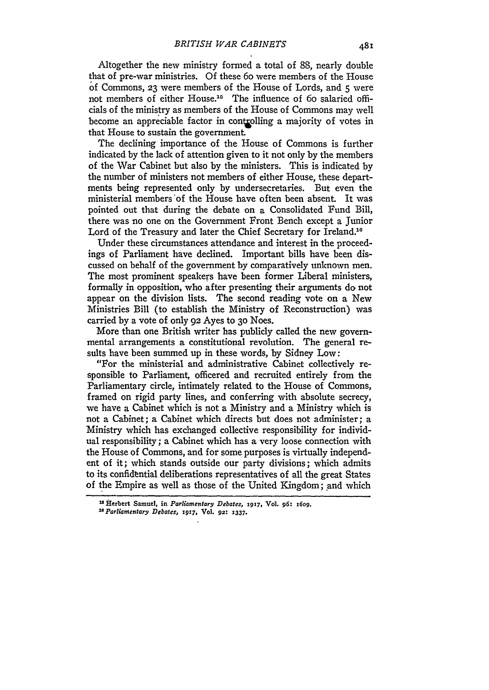Altogether the new ministry formed a total of 88, nearly double that of pre-war ministries. Of these 60 were members of the House of Commons, 23 were members of the House of Lords, and 5 were not members of either House.15 The influence of 60 salaried officials of the ministry as members of the House of Commons may well become an appreciable factor in controlling a majority of votes in that House to sustain the government.

The declining importance of the House of Commons is further indicated by the lack of attention given to it not only by the members of the War Cabinet but also by the ministers. This is indicated by the number of ministers not members of either House, these departments being represented only by undersecretaries. But even the ministerial members of the House have often been absent. It was pointed out that during the debate on a Consolidated Fund Bill, there was no one on the Government Front Bench except a Junior Lord of the Treasury and later the Chief Secretary for Ireland.16

Under these circumstances attendance and interest in the proceedings of Parliament have declined. Important bills have been discussed on behalf of the government by comparatively unknown men. The most prominent speakers have been former Liberal ministers, formally in opposition, who after presenting their arguments do not appear on the division lists. The second reading vote on a New Ministries Bill (to establish the Ministry of Reconstruction) was carried by a vote of only 92 Ayes to 30 Noes.

More than one British writer has publicly called the new governmental arrangements a constitutional revolution. The general results have been summed up in these words, by Sidney Low:

"For the ministerial and administrative Cabinet collectively responsible to Parliament, officered and recruited entirely from the Parliamentary circle, intimately related to the House of Commons, framed on rigid party lines, and conferring with absolute secrecy, we have a Cabinet which is not a Ministry and a Ministry which is not a Cabinet; a Cabinet which directs but does not administer; a Ministry which has exchanged collective responsibility for individual responsibility; a Cabinet which has a very loose connection with the House of Commons, and for some purposes is virtually independent of it; which stands outside our party divisions; which admits to its confidential deliberations representatives of all the great States of the Empire as well as those of the United Kingdom; and which

<sup>:11</sup> Herbert Samuel, in *Parliamentary Debates,* 1917, Vol. 96: 1609.

<sup>1</sup>s *Parliamentary Debates,* i917, Vol. 92: 1337.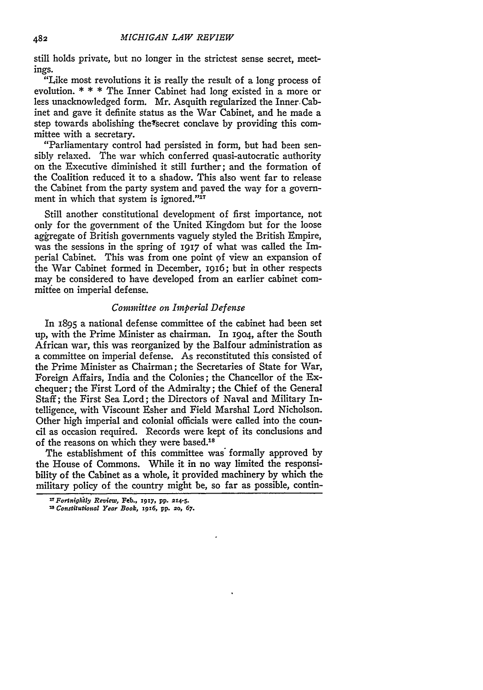still holds private, but no longer in the strictest sense secret, meetings.

"Like most revolutions it is really the result of a long process of evolution. \* \* \* The Inner Cabinet had long existed in a more or less unacknowledged form. Mr. Asquith regularized the Inner.Cabinet and gave it definite status as the War Cabinet, and he made a step towards abolishing the<sup>x</sup>secret conclave by providing this committee with a secretary.

"Parliamentary control had persisted in form, but had been sensibly relaxed. The war which conferred quasi-autocratic authority on the Executive diminished it still further; and the formation of the Coalition reduced it to a shadow. This also went far to release the Cabinet from the party system and paved the way for a government in which that system is ignored."<sup>17</sup>

Still another constitutional development of first importance, not only for the government of the United Kingdom but for the loose aggregate of British governments vaguely styled the British Empire, was the sessions in the spring of 1917 of what was called the Imperial Cabinet. This was from one point of view an expansion of the War Cabinet formed in December, 1916; but in other respects may be considered to have developed from an earlier cabinet committee on imperial defense.

## *Committee on Imperial Defense*

In 1895 a national defense committee of the cabinet had been set up, with the Prime Minister as chairman. In 1904, after the South African war, this was reorganized by the Balfour administration as a committee on imperial defense. As reconstituted this consisted of the Prime Minister as Chairman; the Secretaries of State for War, Foreign Affairs, India and the Colonies; the Chancellor of the Exchequer; the First Lord of the Admiralty; the Chief of the General Staff; the First Sea Lord; the Directors of Naval and Military Intelligence, with Viscount Esher and Field Marshal Lord Nicholson. Other high imperial and colonial officials were called into the council as occasion required. Records were kept of its conclusions and of the reasons on which they were based.18

The establishment of this committee was formally approved by the House of Commons. While it in no way limited the responsi· bility of the Cabinet as a whole, it provided machinery by which the military policy of the country might be, so far as possible, contin-

i1 *Fortnightly Review,* Feb., 1917, pp. 214-5.

is *Constitutional Year Book,* 1916, pp. 20, *67.*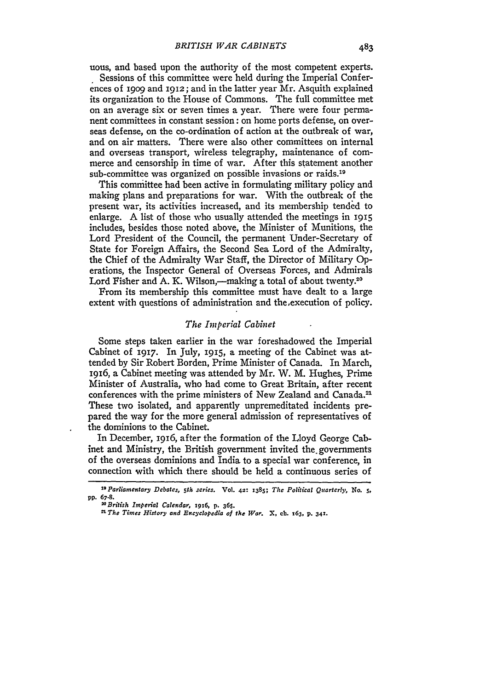uous, and based upon the authority of the most competent experts.

. Sessions of this committee were held during the Imperial Conferences of 1909 and 1912; and in the latter year Mr. Asquith explained its organization to the House of Commons. The full committee met on an average six or seven times a year. There were four permanent committees in constant session: on home ports defense, on overseas defense, on the co-ordination of action at the outbreak of war, and on air matters. There were also other committees on internal and overseas transport, wireless telegraphy, maintenance of commerce and censorship in time of war. After this statement another sub-committee was organized on possible invasions or raids.<sup>19</sup>

This committee had been active in formulating military policy and making plans and preparations for war. With the outbreak of the present war, its activities increased, and its membership tended to enlarge. A list of those who usually attended the meetings in 1915 includes, besides those noted above, the Minister of Munitions, the Lord President of the Council, the permanent Under-Secretary of State for Foreign Affairs, the Second Sea Lord of the Admiralty, the Chief of the Admiralty War Staff, the Director of Military Operations, the Inspector General of Overseas Forces, and Admirals Lord Fisher and A. K. Wilson,--making a total of about twenty.<sup>20</sup>

From its membership this committee must have dealt to a large extent with questions of administration and the.execution of policy.

## *The Imperial Cabinet*

Some steps taken earlier in the war foreshadowed the Imperial Cabinet of 1917. In July, 1915, a meeting of the Cabinet was attended by Sir Robert Borden, Prime Minister of Canada. In March, 1916, a Cabinet meeting was attended by Mr. W. M. Hughes, Prime Minister of Australia, who had come to Great Britain, after recent conferences with the prime ministers of New Zealand and Canada.<sup>21</sup> These two isolated, and apparently unpremeditated incidents prepared the way for the more general admission of representatives of the dominions to the Cabinet.

In December, 1916, after the formation of the Lloyd George Cabinet and Ministry, the British government invited the\_govemments of the overseas dominions and India to a special war conference, in connection with which there should be held a continuous series of

<sup>10</sup>*Parliamentary Debates, sth series.* Vol. 42: 1385; *TT1e Political Quarterly,* No. 5, pp. 67-8.

*<sup>&</sup>quot;°British Imperial Calendar,* 1916, p. 365. 01 *The Times Histor;,• and Enc;,oclopedia of the War.* X, ch. 163, p. 341.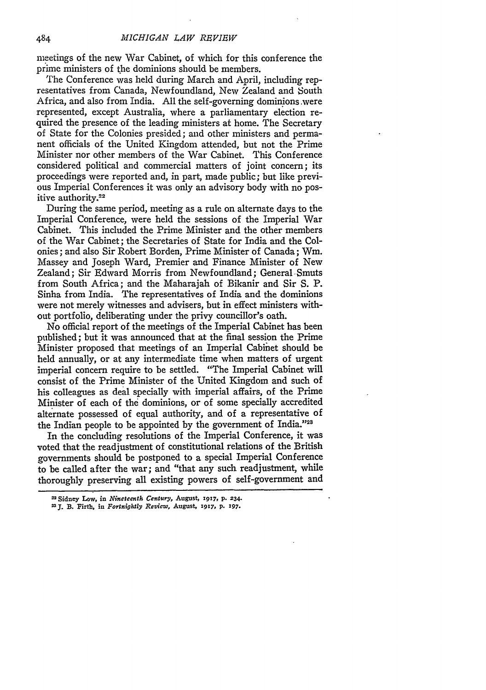meetings of the new \Var Cabinet, of which for this conference the prime ministers of the dominions should be members.

The Conference was held during March and April, including representatives from Canada, Newfoundland, New Zealand and South Africa, and also from India. All the self-governing dominjons .were represented, except Australia, where a parliamentary election required the presence of the leading ministers at home. The Secretary of State for the Colonies presided; and other ministers and permanent officials of the United Kingdom attended, but not the Prime Minister nor other members of the War Cabinet. This Conference considered political and commercial matters of joint concern; its proceedings were reported and, in part, made public; but like previous Imperial Conferences it was only an advisory body with no positive authority.<sup>22</sup>

During the same period, meeting as a rule on alternate days to the Imperial Conference, were held the sessions of the Imperial War Cabinet. This included the Prime Minister and the other members of the War Cabinet; the Secretaries of State for India and the Colonies; and also Sir Robert Borden, Prime Minister of Canada; Wm. Massey and Joseph Ward, Premier and Finance Minister of New Zealand; Sir Edward Morris from Newfoundland; General-Smuts from South Africa; and the Maharajah of Bikanir and Sir S. P. Sinha from India. The representatives of India and the dominions were not merely witnesses and advisers, but in effect ministers without portfolio, deliberating under the privy councillor's oath.

No official report of the meetings of the Imperial Cabinet has been published; but it was announced that at the final session the Prime Minister proposed that meetings of an Imperial Cabinet should be held annually, or at any intermediate time when matters of urgent imperial concern require to be settled. "The Imperial Cabinet will consist of the Prime Minister of the United Kingdom and such of his colleagues as deal specially with imperial affairs, of the Prime Minister of each of the dominions, or of some specially accredited alternate possessed of equal authority, and of a representative of the Indian people to be appointed by the government of India."<sup>23</sup>

In the concluding resolutions of the Imperial Conference, it was voted that the readjustment of constitutional relations of the British governments should be postponed to a special Imperial Conference to be called after the war; and "that any such readjustment, while thoroughly preserving all existing powers of self-government and

<sup>&</sup>lt;sup>22</sup> Sidney Low, in *Nineteenth Century*, August, 1917, p. 234.

<sup>23</sup> J. B. Firth, in *Fonnighlly Review,* August, 1917, p. 197·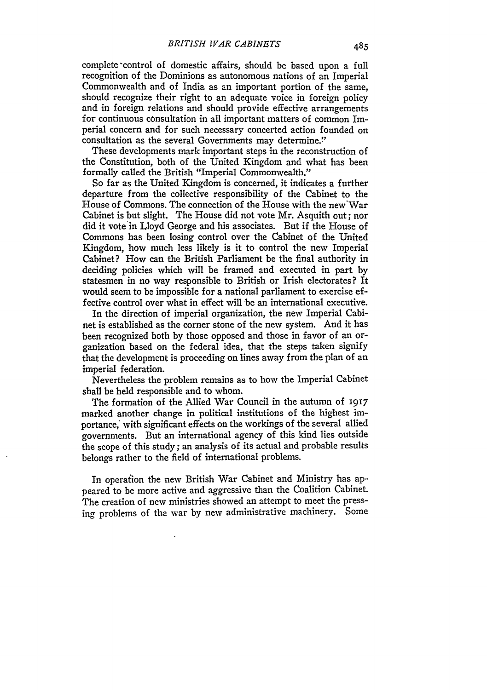complete ·control of domestic affairs, should be based upon a full recognition of the Dominions as autonomous nations of an Imperial Commonwealth and of India as an important portion of the same, should recognize their right to an adequate voice in foreign policy and in foreign relations and should provide effective arrangements for continuous consultation in all important matters of common Imperial concern and for such necessary concerted action founded on consultation as the several Governments may determine."

These developments mark important steps in the reconstruction of the Constitution, both of the United Kingdom and what has been formally called the British "Imperial Commonwealth."

So far as the United Kingdom is concerned, it indicates a further departure from the collective responsibility of the Cabinet to the House of Commons. The connection of the House with the new War Cabinet is but slight. The House did not vote Mr. Asquith out; nor did it vote in Lloyd George and his associates. But if the House of Commons has been losing control over the Cabinet of the United Kingdom, how much less likely is it to control the new Imperial Cabinet? How can the British Parliament be the final authority in deciding policies which will be framed and executed in part by statesmen in no way responsible to British or Irish electorates? It would seem to be impossible for a national parliament to exercise effective control over what in effect will be an international executive.

In the direction of imperial organization, the new Imperial Cabinet is established as the comer stone of the new system. And it has been recognized both by those opposed and those in favor of an organization based on the federal idea, that the steps taken signify that the development is proceeding on lines away from the plan of an imperial federation.

Nevertheless the problem remains as to how the Imperial Cabinet shall be held responsible and to whom.

The formation of the Allied War Council in the autumn of 1917 marked another change in political institutions of the highest importance, with significant effects on the workings of the several allied governments. But an international agency of this kind lies outside the scope of this study ; an analysis of its actual and probable results belongs rather to the field of international problems.

In operation the new British War Cabinet and Ministry has appeared to be more active and aggressive than the Coalition Cabinet. The creation of new ministries showed an attempt to meet the pressing problems of the war by new administrative machinery. Some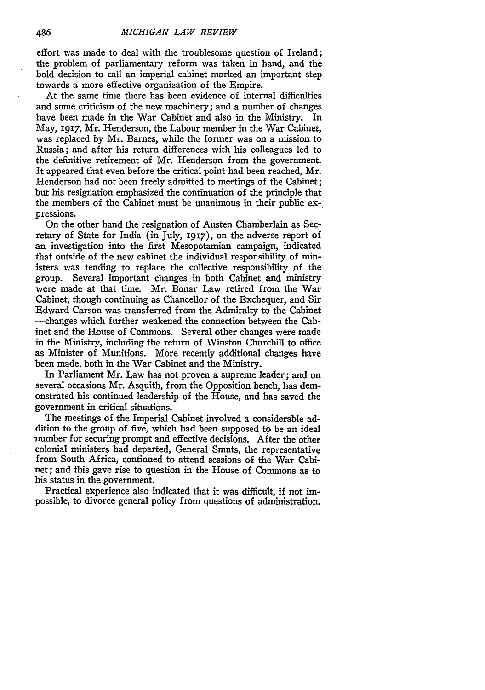effort was made to deal with the troublesome question of Ireland; the problem of parliamentary reform was taken in hand, and the bold decision to call an imperial cabinet marked an important step towards a more effective organization of the Empire.

At the same time there has been evidence of internal difficulties and some criticism of the new machinery; and a number of changes have been made in the War Cabinet and also in the Ministry. In May, 1917, Mr. Henderson, the Labour member in the War Cabinet, was replaced by Mr. Barnes, while the former was on a mission to Russia; and after his return differences with his colleagues led to the definitive retirement of Mr. Henderson from the government. It appeared that even before the critical point had been reached, Mr. Henderson had not been freely admitted to meetings of the Cabinet; but his resignation emphasized the continuation of the principle that the members of the Cabinet must be unanimous in their public ex-, pressions.

On the other hand the resignation of Austen Chamberlain as Secretary of State for India (in July, 1917), on the adverse report of an investigation into the first Mesopotamian campaign, indicated that outside of the new cabinet the individual responsibility of ministers was tending to replace the collective responsibility of the group. Several important changes in both Cabinet and ministry were made at that time. Mr. Bonar Law retired from the War Cabinet, though continuing as Chancellor of the Exchequer, and Sir Edward Carson was transferred from the Admiralty to the Cabinet -changes which further weakened the connection between the Cabinet and the House of Commons. Several other changes were made in the Ministry, including the return of Winston Churchill to office as Minister of Munitions. More recently additional changes have been made, both in the War Cabinet and the Ministry.

In Parliament Mr. Law has not proven a supreme leader; and on several occasions Mr. Asquith, from the Opposition bench, has demonstrated his continued leadership of the House, and has saved the government in critical situations.

The meetings of the Imperial Cabinet involved a considerable addition to the group of five, which had been supposed to be an ideal number for securing prompt and effective decisions. After the other colonial ministers had departed, General Smuts, the representative from South Africa, continued to attend sessions of the War Cabinet; and this gave rise to question in the House of Commons as to his status in the government.

Practical experience also indicated that it was difficult, if not impossible, to divorce general policy from questions of administration.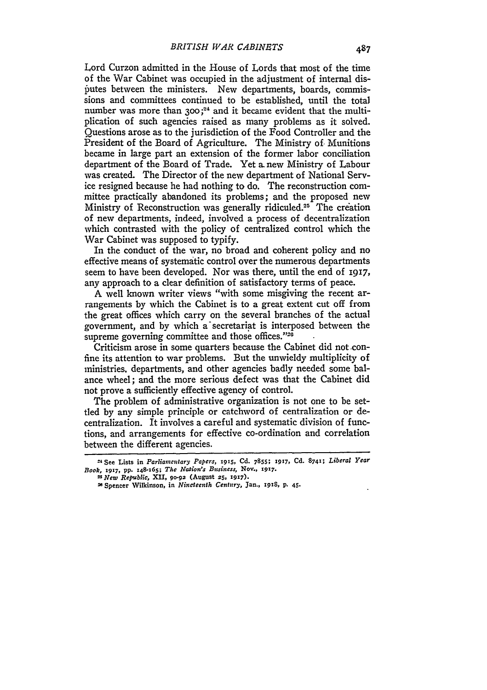Lord Curzon admitted in the House of Lords that most of the time of the War Cabinet was occupied in the adjustment of internal disputes between the ministers. New departments, boards, commissions and committees continued to be established, until the total number was more than 300;<sup>24</sup> and it became evident that the multiplication of such agencies raised as many problems as it solved. Questions arose as to the jurisdiction of the Food Controller and the President of the Board of Agriculture. The Ministry of Munitions became in large part an extension of the former labor conciliation department of the Board of Trade. Yet a. new Ministry of Labour was created. The Director of the new department of National Service resigned because he had nothing to do. The reconstruction committee practically abandoned its problems; and the proposed new Ministry of Reconstruction was generally ridiculed.<sup>25</sup> The creation of new departments, indeed, involved a process of decentralization which contrasted with the policy of centralized control which the \Var Cabinet was supposed to typify.

In the conduct of the war, no broad and coherent policy and no effective means of systematic control over the numerous departments seem to have been developed. Nor was there, until the end of 1917, any approach to a clear definition of satisfactory terms of peace.

A well known writer views "with some misgiving the recent arrangements by which the Cabinet is to a great extent cut off from the great offices which carry on the several branches of the actual government, and by which a secretariat is interposed between the supreme governing committee and those offices."<sup>26</sup>

Criticism arose in some quarters because the Cabinet did not .confine its attention to war problems. But the unwieldy multiplicity of ministries. departments, and other agencies badly needed some balance wheel ; and the more serious defect was that the Cabinet did not prove a sufficiently effective agency of control.

The problem of administrative organization is not one to be settled by any simple principle or catchword of centralization or decentralization. It involves a careful and systematic division of functions, and arrangements for effective co-ordination and correlation between the different agencies.

<sup>&</sup>quot;See Lists in *Parliamc11lary Papers,* 1915, Cd. *7855;* 1917, Cd. 8741; *Liberal Year Book,* 1917, pp. 148-165; *The Nation's Business,* Nov., 1917. :s *New Republic,* XII, 90-92 (August *a5,* 1917).

<sup>:&</sup>gt;o Spencer Wilkinson, in *Nineteenth Centur::>o,* Jan., 1918, p. 45·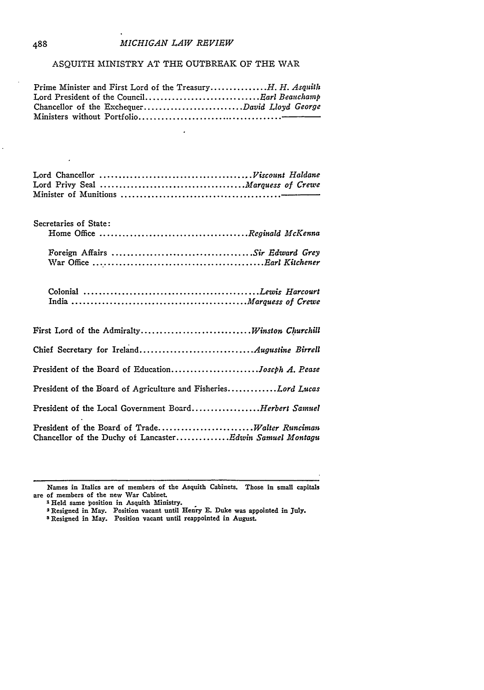## *MICHIGAN LAW REVIEW*

## ASQUITH MINISTRY AT THE OUTBREAK OF THE WAR

| Prime Minister and First Lord of the TreasuryH. H. Asquith |  |
|------------------------------------------------------------|--|
| Lord President of the CouncilEarl Beauchamp                |  |
| Chancellor of the ExchequerDavid Lloyd George              |  |
|                                                            |  |
|                                                            |  |

| Secretaries of State:                                         |
|---------------------------------------------------------------|
|                                                               |
|                                                               |
|                                                               |
|                                                               |
|                                                               |
| President of the Board of EducationJoseph A. Pease            |
| President of the Board of Agriculture and FisheriesLord Lucas |
| President of the Local Government BoardHerbert Samuel         |
| Chancellor of the Duchy of LancasterEdwin Samuel Montagu      |

•Resigned in May. Position vacant until reappointed in August.

Names in Italics are of members of the Asquith Cabinets. Those in small capitals are of members of the new War Cabinet. 1 Held same position in Asquith Ministry.

<sup>&</sup>lt;sup>2</sup> Resigned in May. Position vacant until Henry E. Duke was appointed in July.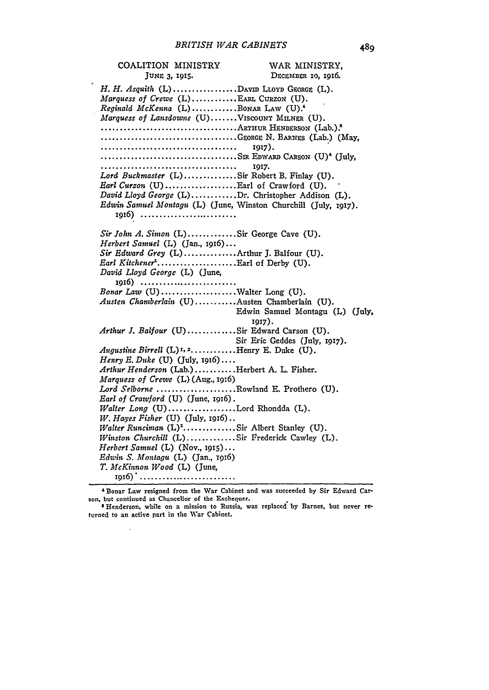$\bullet$ 

| COALITION MINISTRY<br>JUNE 3, 1915.                                                                                                                                                                                                                                                                                                                                                                                                                                                                                                                                     | WAR MINISTRY,<br>DECEMBER 10, 1916.       |
|-------------------------------------------------------------------------------------------------------------------------------------------------------------------------------------------------------------------------------------------------------------------------------------------------------------------------------------------------------------------------------------------------------------------------------------------------------------------------------------------------------------------------------------------------------------------------|-------------------------------------------|
| H. H. Asquith (L)DAVID LLOYD GEORGE (L).<br>Marquess of Crewe (L)EARL CURZON (U).<br>Reginald McKenna (L)BONAR LAW (U).<br>Marquess of Lansdowne (U)VISCOUNT MILNER (U).<br>SIR EDWARD CARSON (U) <sup>4</sup> (July,<br><br>Lord Buckmaster (L)Sir Robert B. Finlay (U).<br>Earl Curzon (U) Earl of Crawford (U).<br>David Lloyd George (L.)Dr. Christopher Addison (L.).<br>Edwin Samuel Montagu (L) (June, Winston Churchill (July, 1917).<br>1916)                                                                                                                  | 1917).<br>1917.                           |
| Sir John A. Simon (L)Sir George Cave (U).<br>Herbert Samuel (L) (Jan., 1916)<br>Sir Edward Grey (L.)Arthur J. Balfour (U).<br>Earl Kitchener <sup>1</sup> Earl of Derby (U).<br>David Lloyd George (L) (June,<br>1916)                                                                                                                                                                                                                                                                                                                                                  |                                           |
| Bonar Law (U)Walter Long (U).<br>Austen Chamberlain (U)Austen Chamberlain (U).<br>Arthur J. Balfour (U) Sir Edward Carson (U).                                                                                                                                                                                                                                                                                                                                                                                                                                          | Edwin Samuel Montagu (L) (July,<br>1917). |
| Augustine Birrell (L) <sup>1,2</sup> Henry E. Duke (U).<br>Henry E. Duke (U) (July, 1916)<br>Arthur Henderson (Lab.)Herbert A. L. Fisher.<br>Marquess of Crewe (L) (Aug., 1916)<br>Lord Selborne Rowland E. Prothero (U).<br>Earl of Crawford (U) (June, 1916).<br>Walter Long (U)Lord Rhondda (L).<br>W. Hayes Fisher (U) (July, 1916)<br>Walter Runciman (L) <sup>1</sup> Sir Albert Stanley (U).<br>Winston Churchill (L)Sir Frederick Cawley (L).<br>Herbert Samuel (L) (Nov., 1915)<br>Edwin S. Montagu (L) (Jan., 1916)<br>T. McKinnon Wood (L) (June,<br>$1916)$ | Sir Eric Geddes (July, 1917).             |

'Bonar Law resigned from the War Cabinet and was succeeded by Sir Edward Car· son, but continued as Chancellor of the Exchequer. •Henderson, while on a mission to Russia, was replaced° by Barnes, but never re-

 $\bar{\gamma}$ 

turned to an active part in the War Cabinet.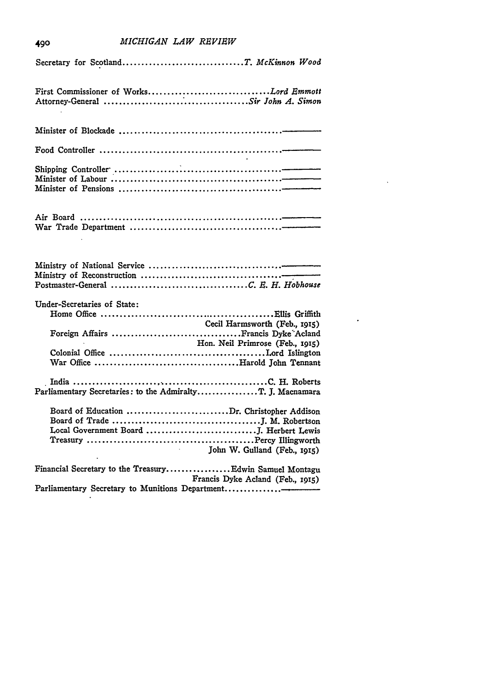# *MICHIGAN LAW REVIEW*

| Secretary for ScotlandT. McKinnon Wood                                                      |
|---------------------------------------------------------------------------------------------|
|                                                                                             |
|                                                                                             |
|                                                                                             |
|                                                                                             |
|                                                                                             |
|                                                                                             |
| Under-Secretaries of State:                                                                 |
| Cecil Harmsworth (Feb., 1915)<br>Hon. Neil Primrose (Feb., 1915)                            |
| Parliamentary Secretaries: to the AdmiraltyT. J. Macnamara                                  |
| Board of Education Dr. Christopher Addison<br>John W. Gulland (Feb., 1915)                  |
| Financial Secretary to the TreasuryEdwin Samuel Montagu<br>Francis Dyke Acland (Feb., 1915) |
|                                                                                             |

 $\mathcal{L}^{\mathcal{L}}(\mathcal{A})$  .

 $\sim 10^{11}$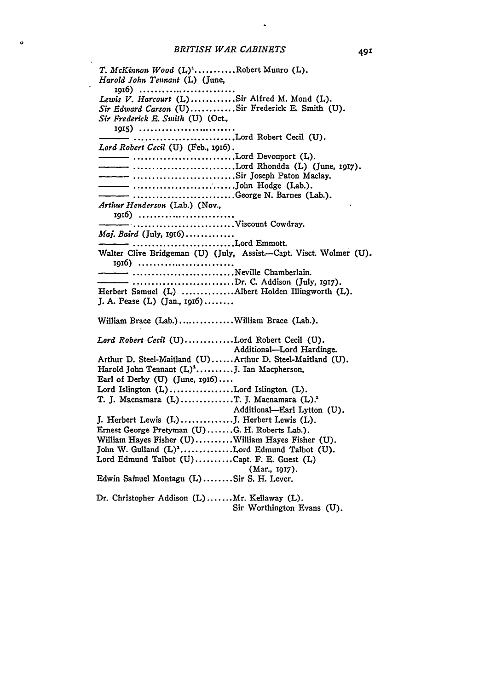Q

*T. McKinnon Wood* (L)1 ........... Robert Munro (L). *Harold John Tennant* (L) (June, 1916) ......................... . *Lewis V. Harcourt* (L) ............ Sir Alfred M. Mond (L). *Sir Edward Carson* (U) ..••.••••••. Sir Frederick E. Smith (U). *Sir Frederick* E. *Smith* (U) (Oct., 1915) ........................... ---........................... Lord Robert Cecil (U). *Lord Robert Cecil* (U) (Feb., 1916). ----- .............................Lord Devonport (L). - ............................Lord Rhondda (L) (June, 1917). - .............................Sir Joseph Paton Maclay. ---.................... : ...... John Hodge (Lab.). ---........................... George N. Barnes (Lab.). *Arthur Henderson* (Lab.) (Nov., 1916) ........................... ---· ........................... Viscount Cowdray. *Maj. Baird* (July, 1916) ........... .. ---...•...•...•••...••.•.•••.. Lord Emmott. Walter Clive Bridgeman (U) (July, Assist.--Capt. Visct. Wolmer (U). 1916) ...........................  $-$  ................................ Neville Chamberlain. - ..............................Dr. C. Addison (July, 1917). Herbert Samuel (L) ..............Albert Holden Illingworth (L). J. A. Pease (L) (Jan., 1916) ........ William Brace (Lab.) ............... William Brace (Lab.). *Lord Robert Cecil* (U) ............. Lord Robert Cecil (U). Additional-Lord Hardinge. Arthur D. Steel-Maitland (U) ...... Arthur D. Steel-Maitland (U). Harold John Tennant (L)<sup>1</sup>..........J. Ian Macpherson. Earl of Derby  $(U)$  (June, 1916).... Lord Islington (L) ................. Lord Islington (L). T. J. Macnamara (L) ..............T. J. Macnamará (L).<sup>1</sup> Additional-Earl Lytton (U). J. Herbert Lewis (L)...............J. Herbert Lewis (L). Ernest George Pretyman (U).......G. H. Roberts Lab.). William Hayes Fisher (U) .........William Hayes Fisher (U). John W. Gulland  $(L)^1$ ................Lord Edmund Talbot (U). Lord Edmund Talbot (U) .......... Capt. F. E. Guest (L) (Mar., 1917). Edwin Samuel Montagu (L) •...•.•. Sir S. H. Lever. Dr. Christopher Addison (L) ....... Mr. Kellaway (L). Sir Worthington Evans (U).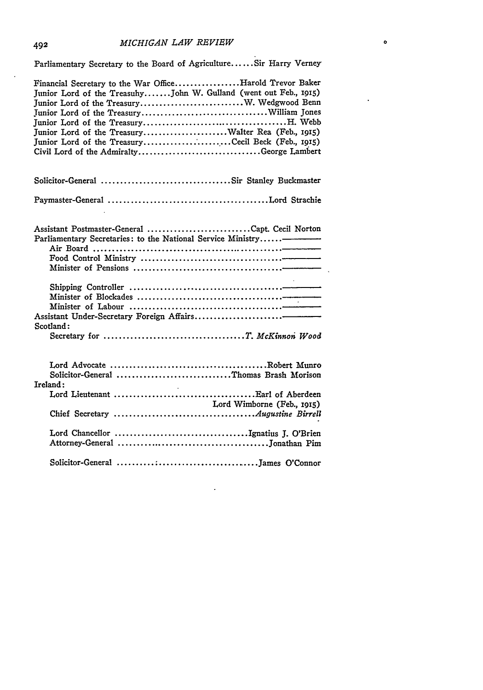0

 $\ddot{\phantom{0}}$ 

 $\ddot{\phantom{0}}$ 

Parliamentary Secretary to the Board of Agriculture...... Sir Harry Verney

| Financial Secretary to the War OfficeHarold Trevor Baker<br>Junior Lord of the TreasuhyJohn W. Gulland (went out Feb., 1915)<br>Junior Lord of the TreasuryW. Wedgwood Benn<br>Junior Lord of the TreasuryWalter Rea (Feb., 1915)<br>Junior Lord of the TreasuryCecil Beck (Feb., 1915) |
|-----------------------------------------------------------------------------------------------------------------------------------------------------------------------------------------------------------------------------------------------------------------------------------------|
|                                                                                                                                                                                                                                                                                         |
|                                                                                                                                                                                                                                                                                         |
| Assistant Postmaster-General Capt. Cecil Norton<br>Parliamentary Secretaries: to the National Service Ministry                                                                                                                                                                          |
| Scotland:                                                                                                                                                                                                                                                                               |
|                                                                                                                                                                                                                                                                                         |
| Solicitor-General Thomas Brash Morison<br>Ireland:                                                                                                                                                                                                                                      |
| Lord Wimborne (Feb., 1915)                                                                                                                                                                                                                                                              |
|                                                                                                                                                                                                                                                                                         |
|                                                                                                                                                                                                                                                                                         |

 $\ddot{\phantom{0}}$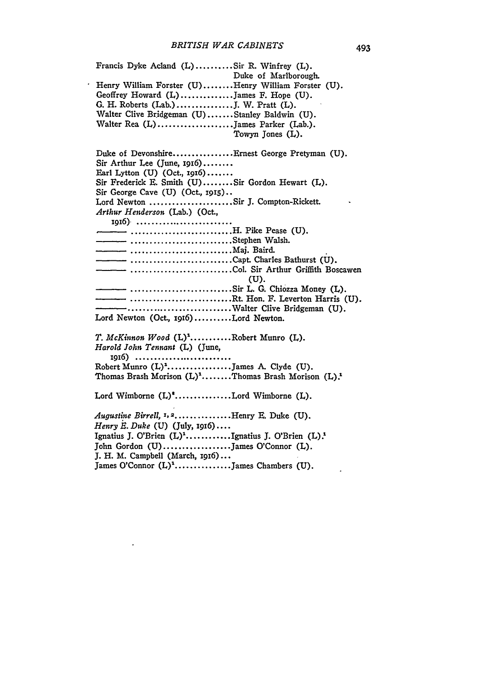Francis Dyke Acland (L) .........Sir R. Winfrey (L). Duke of Marlborough. Henry William Forster (U)........Henry William Forster (U). Geoffrey Howard (L)..............James F. Hope (U). G. H. Roberts (Lab.).................J. W. Pratt (L). Walter Clive Bridgeman (U).......Stanley Baldwin (U). Walter Rea (L)....................James Parker (Lab.). Towyn Jones (L). Duke of Devonshire................ Ernest George Pretyman (U).  $Sir$  Arthur Lee (June, 1916)....... Earl Lytton (U)  $(Oct., 1916)$ ....... Sir Frederick E. Smith (U) ........ Sir Gordon Hewart (L). Sir George Cave  $(U)$   $(Oct., 1915)$ . Lord Newton .....................Sir J. Compton-Rickett. *Arthur Henderson* (Lab.) (Oct., 1916} •••....•.•.••••••••••••••• ~-- .....•.....••••••••..•••••. H. Pike Pease (U). --- •••••.........•.......•••.. Stephen Walsh. ---.•.•........•.•••••..••••.. Maj. Baird. . ---•....................•.••.. Capt. Charles Bathurst (U). ---............•.............. Col. Sir Arthur Griffith Boscawen (U). ---.....................•.••.• Sir L. G. Chiozza Money (L).  $-$  ..............................Rt. Hon. F. Leverton Harris (U). ---.•.•.•......•.•.•...•..••••• Walter Clive Bridgeman (U). Lord Newton (Oct., 1916) ..........Lord Newton. *T. McKinnon Wood* (L)<sup>1</sup>..........Robert Munro (L). *Harold John Tennant* (L) (June, 1916) •••••••••••••••••••••••••• Robert Munro  $(L)^1$ ..................... James A. Clyde (U). Thomas Brash Morison  $(L)^1$ .......Thomas Brash Morison  $(L)$ .<sup>1</sup> Lord Wimborne  $(L)^*$ .................Lord Wimborne  $(L)$ . *Augustine Birrell, 1, 2.* ...............Henry E. Duke (U). *Henry E. Duke* (U) (July, 1916) .... Ignatius J. O'Brien  $(L)$ <sup>1</sup>............Ignatius J. O'Brien  $(L)$ <sup>1</sup>. John Gordon (U) ..................James O'Connor (L). J. H. M. Campbell (March, 1916)... James O'Connor  $(L)^1$ ...............James Chambers (U).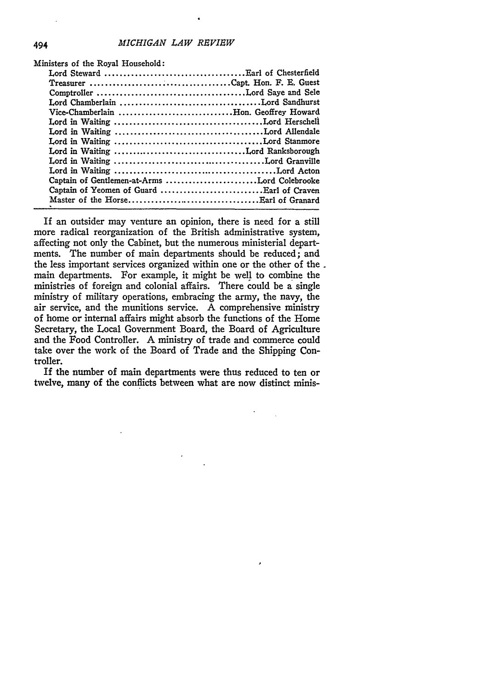Ministers of the Royal Household:

| Treasurer Capt. Hon. F. E. Guest             |  |
|----------------------------------------------|--|
|                                              |  |
|                                              |  |
| Vice-Chamberlain Hon. Geoffrey Howard        |  |
|                                              |  |
|                                              |  |
|                                              |  |
|                                              |  |
|                                              |  |
|                                              |  |
| Captain of Gentlemen-at-Arms Lord Colebrooke |  |
|                                              |  |
|                                              |  |

If an outsider may venture an opinion, there is need for a still more radical reorganization of the British administrative system, affecting not only the Cabinet, but the numerous ministerial departments. The number of main departments should be reduced; and the less important services organized within one or the other of the . main departments. For example, it might be well to combine the ministries of foreign and colonial affairs. There could be a single ministry of military operations, embracing the army, the navy, the air service, and the munitions service. A comprehensive ministry of home or internal affairs might absorb the functions of the Home Secretary, the Local Government Board, the Board of Agriculture and the Food Controller. A ministry of trade and commerce could take over the work of the Board of Trade and the Shipping Controller.

If the number of main departments were thus reduced to ten or twelve, many of the conflicts between what are now distinct minis-